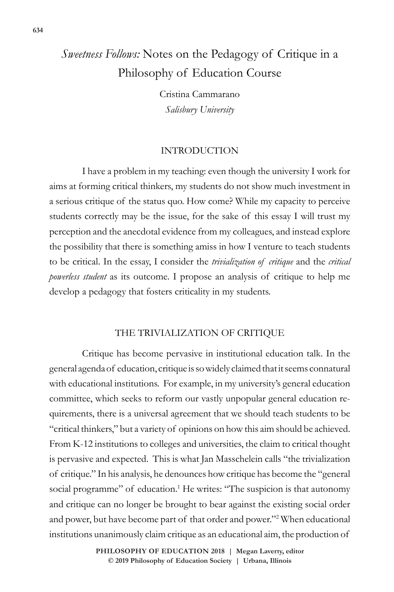# *Sweetness Follows:* Notes on the Pedagogy of Critique in a Philosophy of Education Course

Cristina Cammarano *Salisbury University*

## INTRODUCTION

I have a problem in my teaching: even though the university I work for aims at forming critical thinkers, my students do not show much investment in a serious critique of the status quo. How come? While my capacity to perceive students correctly may be the issue, for the sake of this essay I will trust my perception and the anecdotal evidence from my colleagues, and instead explore the possibility that there is something amiss in how I venture to teach students to be critical. In the essay, I consider the *trivialization of critique* and the *critical powerless student* as its outcome. I propose an analysis of critique to help me develop a pedagogy that fosters criticality in my students.

## THE TRIVIALIZATION OF CRITIQUE

Critique has become pervasive in institutional education talk. In the general agenda of education, critique is so widely claimed that it seems connatural with educational institutions. For example, in my university's general education committee, which seeks to reform our vastly unpopular general education requirements, there is a universal agreement that we should teach students to be "critical thinkers," but a variety of opinions on how this aim should be achieved. From K-12 institutions to colleges and universities, the claim to critical thought is pervasive and expected. This is what Jan Masschelein calls "the trivialization of critique." In his analysis, he denounces how critique has become the "general social programme" of education.<sup>1</sup> He writes: "The suspicion is that autonomy and critique can no longer be brought to bear against the existing social order and power, but have become part of that order and power."2 When educational institutions unanimously claim critique as an educational aim, the production of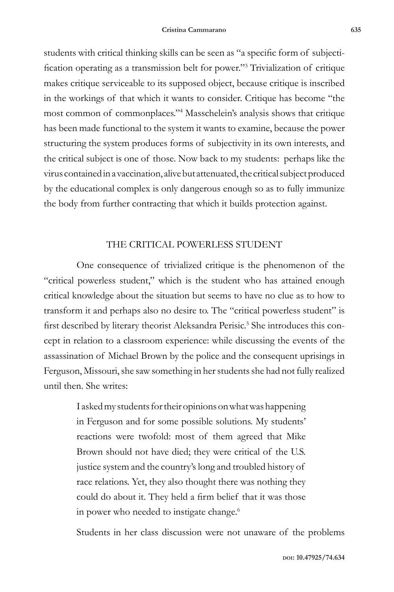students with critical thinking skills can be seen as "a specific form of subjectification operating as a transmission belt for power."<sup>3</sup> Trivialization of critique makes critique serviceable to its supposed object, because critique is inscribed in the workings of that which it wants to consider. Critique has become "the most common of commonplaces."4 Masschelein's analysis shows that critique has been made functional to the system it wants to examine, because the power structuring the system produces forms of subjectivity in its own interests, and the critical subject is one of those. Now back to my students: perhaps like the virus contained in a vaccination, alive but attenuated, the critical subject produced by the educational complex is only dangerous enough so as to fully immunize the body from further contracting that which it builds protection against.

## THE CRITICAL POWERLESS STUDENT

One consequence of trivialized critique is the phenomenon of the "critical powerless student," which is the student who has attained enough critical knowledge about the situation but seems to have no clue as to how to transform it and perhaps also no desire to. The "critical powerless student" is first described by literary theorist Aleksandra Perisic.<sup>5</sup> She introduces this concept in relation to a classroom experience: while discussing the events of the assassination of Michael Brown by the police and the consequent uprisings in Ferguson, Missouri, she saw something in her students she had not fully realized until then. She writes:

> I asked my students for their opinions on what was happening in Ferguson and for some possible solutions. My students' reactions were twofold: most of them agreed that Mike Brown should not have died; they were critical of the U.S. justice system and the country's long and troubled history of race relations. Yet, they also thought there was nothing they could do about it. They held a firm belief that it was those in power who needed to instigate change.<sup>6</sup>

Students in her class discussion were not unaware of the problems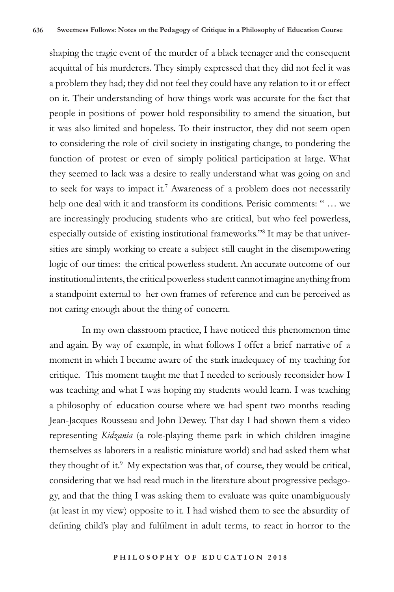shaping the tragic event of the murder of a black teenager and the consequent acquittal of his murderers. They simply expressed that they did not feel it was a problem they had; they did not feel they could have any relation to it or effect on it. Their understanding of how things work was accurate for the fact that people in positions of power hold responsibility to amend the situation, but it was also limited and hopeless. To their instructor, they did not seem open to considering the role of civil society in instigating change, to pondering the function of protest or even of simply political participation at large. What they seemed to lack was a desire to really understand what was going on and to seek for ways to impact it.<sup>7</sup> Awareness of a problem does not necessarily help one deal with it and transform its conditions. Perisic comments: " … we are increasingly producing students who are critical, but who feel powerless, especially outside of existing institutional frameworks."8 It may be that universities are simply working to create a subject still caught in the disempowering logic of our times: the critical powerless student. An accurate outcome of our institutional intents, the critical powerless student cannot imagine anything from a standpoint external to her own frames of reference and can be perceived as not caring enough about the thing of concern.

In my own classroom practice, I have noticed this phenomenon time and again. By way of example, in what follows I offer a brief narrative of a moment in which I became aware of the stark inadequacy of my teaching for critique. This moment taught me that I needed to seriously reconsider how I was teaching and what I was hoping my students would learn. I was teaching a philosophy of education course where we had spent two months reading Jean-Jacques Rousseau and John Dewey. That day I had shown them a video representing *Kidzania* (a role-playing theme park in which children imagine themselves as laborers in a realistic miniature world) and had asked them what they thought of it.<sup>9</sup> My expectation was that, of course, they would be critical, considering that we had read much in the literature about progressive pedagogy, and that the thing I was asking them to evaluate was quite unambiguously (at least in my view) opposite to it. I had wished them to see the absurdity of defining child's play and fulfilment in adult terms, to react in horror to the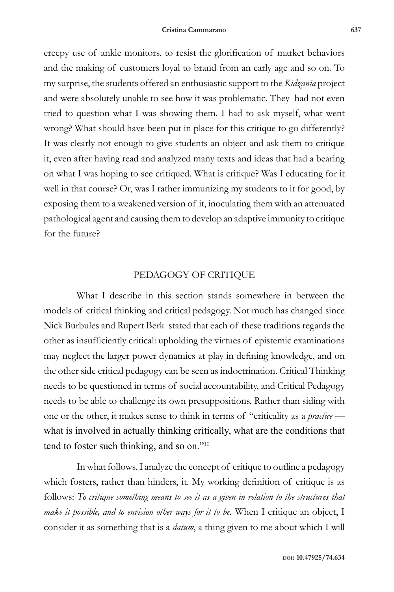creepy use of ankle monitors, to resist the glorification of market behaviors and the making of customers loyal to brand from an early age and so on. To my surprise, the students offered an enthusiastic support to the *Kidzania* project and were absolutely unable to see how it was problematic. They had not even tried to question what I was showing them. I had to ask myself, what went wrong? What should have been put in place for this critique to go differently? It was clearly not enough to give students an object and ask them to critique it, even after having read and analyzed many texts and ideas that had a bearing on what I was hoping to see critiqued. What is critique? Was I educating for it well in that course? Or, was I rather immunizing my students to it for good, by exposing them to a weakened version of it, inoculating them with an attenuated pathological agent and causing them to develop an adaptive immunity to critique for the future?

### PEDAGOGY OF CRITIQUE

What I describe in this section stands somewhere in between the models of critical thinking and critical pedagogy. Not much has changed since Nick Burbules and Rupert Berk stated that each of these traditions regards the other as insufficiently critical: upholding the virtues of epistemic examinations may neglect the larger power dynamics at play in defining knowledge, and on the other side critical pedagogy can be seen as indoctrination. Critical Thinking needs to be questioned in terms of social accountability, and Critical Pedagogy needs to be able to challenge its own presuppositions. Rather than siding with one or the other, it makes sense to think in terms of "criticality as a *practice* what is involved in actually thinking critically, what are the conditions that tend to foster such thinking, and so on."<sup>10</sup>

In what follows, I analyze the concept of critique to outline a pedagogy which fosters, rather than hinders, it. My working definition of critique is as follows: To critique something means to see it as a given in relation to the structures that *make it possible, and to envision other ways for it to be.* When I critique an object, I consider it as something that is a *datum*, a thing given to me about which I will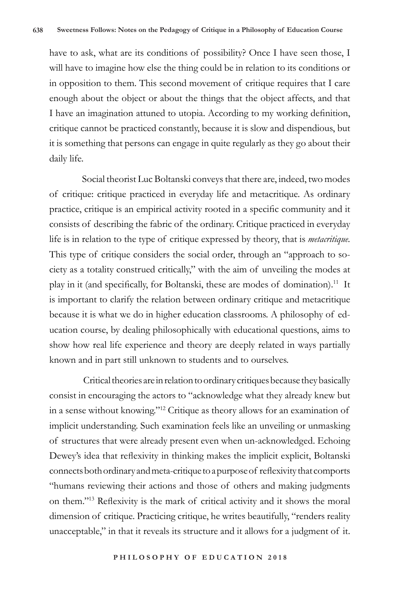have to ask, what are its conditions of possibility? Once I have seen those, I will have to imagine how else the thing could be in relation to its conditions or in opposition to them. This second movement of critique requires that I care enough about the object or about the things that the object affects, and that I have an imagination attuned to utopia. According to my working definition, critique cannot be practiced constantly, because it is slow and dispendious, but it is something that persons can engage in quite regularly as they go about their daily life.

Social theorist Luc Boltanski conveys that there are, indeed, two modes of critique: critique practiced in everyday life and metacritique. As ordinary practice, critique is an empirical activity rooted in a specific community and it consists of describing the fabric of the ordinary. Critique practiced in everyday life is in relation to the type of critique expressed by theory, that is *metacritique.*  This type of critique considers the social order, through an "approach to society as a totality construed critically," with the aim of unveiling the modes at play in it (and specifically, for Boltanski, these are modes of domination).<sup>11</sup> It is important to clarify the relation between ordinary critique and metacritique because it is what we do in higher education classrooms. A philosophy of education course, by dealing philosophically with educational questions, aims to show how real life experience and theory are deeply related in ways partially known and in part still unknown to students and to ourselves.

 Critical theories are in relation to ordinary critiques because they basically consist in encouraging the actors to "acknowledge what they already knew but in a sense without knowing."12 Critique as theory allows for an examination of implicit understanding. Such examination feels like an unveiling or unmasking of structures that were already present even when un-acknowledged. Echoing Dewey's idea that reflexivity in thinking makes the implicit explicit, Boltanski connects both ordinary and meta-critique to a purpose of reflexivity that comports "humans reviewing their actions and those of others and making judgments on them."13 Reflexivity is the mark of critical activity and it shows the moral dimension of critique. Practicing critique, he writes beautifully, "renders reality unacceptable," in that it reveals its structure and it allows for a judgment of it.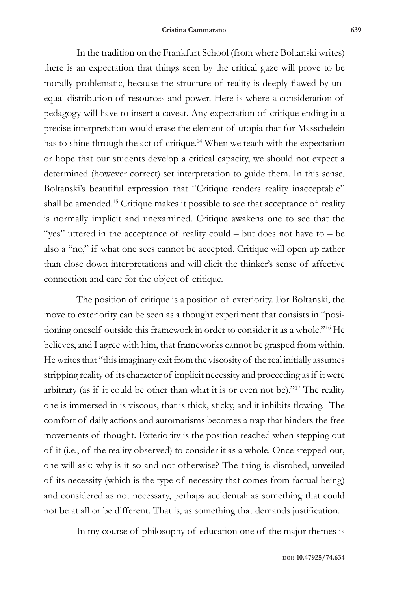In the tradition on the Frankfurt School (from where Boltanski writes) there is an expectation that things seen by the critical gaze will prove to be morally problematic, because the structure of reality is deeply flawed by unequal distribution of resources and power. Here is where a consideration of pedagogy will have to insert a caveat. Any expectation of critique ending in a precise interpretation would erase the element of utopia that for Masschelein has to shine through the act of critique.<sup>14</sup> When we teach with the expectation or hope that our students develop a critical capacity, we should not expect a determined (however correct) set interpretation to guide them. In this sense, Boltanski's beautiful expression that "Critique renders reality inacceptable" shall be amended.<sup>15</sup> Critique makes it possible to see that acceptance of reality is normally implicit and unexamined. Critique awakens one to see that the "yes" uttered in the acceptance of reality could – but does not have to – be also a "no," if what one sees cannot be accepted. Critique will open up rather than close down interpretations and will elicit the thinker's sense of affective connection and care for the object of critique.

The position of critique is a position of exteriority. For Boltanski, the move to exteriority can be seen as a thought experiment that consists in "positioning oneself outside this framework in order to consider it as a whole."16 He believes, and I agree with him, that frameworks cannot be grasped from within. He writes that "this imaginary exit from the viscosity of the real initially assumes stripping reality of its character of implicit necessity and proceeding as if it were arbitrary (as if it could be other than what it is or even not be)."17 The reality one is immersed in is viscous, that is thick, sticky, and it inhibits flowing. The comfort of daily actions and automatisms becomes a trap that hinders the free movements of thought. Exteriority is the position reached when stepping out of it (i.e., of the reality observed) to consider it as a whole. Once stepped-out, one will ask: why is it so and not otherwise? The thing is disrobed, unveiled of its necessity (which is the type of necessity that comes from factual being) and considered as not necessary, perhaps accidental: as something that could not be at all or be different. That is, as something that demands justification.

In my course of philosophy of education one of the major themes is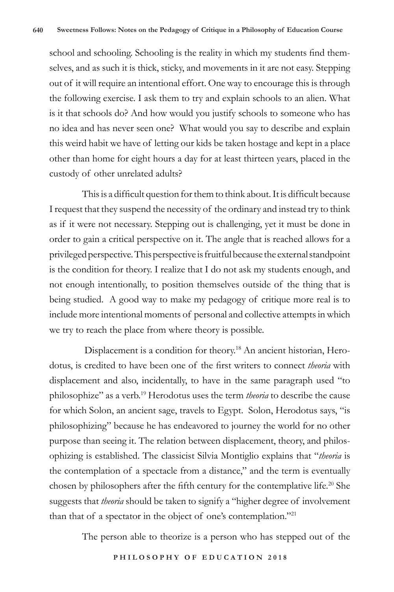school and schooling. Schooling is the reality in which my students find themselves, and as such it is thick, sticky, and movements in it are not easy. Stepping out of it will require an intentional effort. One way to encourage this is through the following exercise. I ask them to try and explain schools to an alien. What is it that schools do? And how would you justify schools to someone who has no idea and has never seen one? What would you say to describe and explain this weird habit we have of letting our kids be taken hostage and kept in a place other than home for eight hours a day for at least thirteen years, placed in the custody of other unrelated adults?

This is a difficult question for them to think about. It is difficult because I request that they suspend the necessity of the ordinary and instead try to think as if it were not necessary. Stepping out is challenging, yet it must be done in order to gain a critical perspective on it. The angle that is reached allows for a privileged perspective. This perspective is fruitful because the external standpoint is the condition for theory. I realize that I do not ask my students enough, and not enough intentionally, to position themselves outside of the thing that is being studied. A good way to make my pedagogy of critique more real is to include more intentional moments of personal and collective attempts in which we try to reach the place from where theory is possible.

 Displacement is a condition for theory.18 An ancient historian, Herodotus, is credited to have been one of the first writers to connect *theoria* with displacement and also, incidentally, to have in the same paragraph used "to philosophize" as a verb.19 Herodotus uses the term *theoria* to describe the cause for which Solon, an ancient sage, travels to Egypt. Solon, Herodotus says, "is philosophizing" because he has endeavored to journey the world for no other purpose than seeing it. The relation between displacement, theory, and philosophizing is established. The classicist Silvia Montiglio explains that "*theoria* is the contemplation of a spectacle from a distance," and the term is eventually chosen by philosophers after the fifth century for the contemplative life.<sup>20</sup> She suggests that *theoria* should be taken to signify a "higher degree of involvement than that of a spectator in the object of one's contemplation."<sup>21</sup>

The person able to theorize is a person who has stepped out of the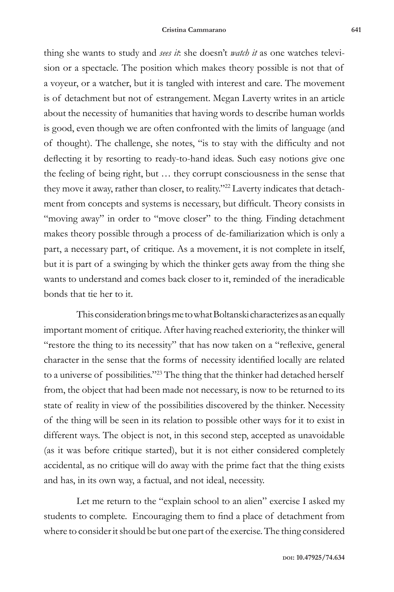thing she wants to study and *sees it*: she doesn't *watch it* as one watches television or a spectacle. The position which makes theory possible is not that of a voyeur, or a watcher, but it is tangled with interest and care. The movement is of detachment but not of estrangement. Megan Laverty writes in an article about the necessity of humanities that having words to describe human worlds is good, even though we are often confronted with the limits of language (and of thought). The challenge, she notes, "is to stay with the difficulty and not deflecting it by resorting to ready-to-hand ideas. Such easy notions give one the feeling of being right, but … they corrupt consciousness in the sense that they move it away, rather than closer, to reality."22 Laverty indicates that detachment from concepts and systems is necessary, but difficult. Theory consists in "moving away" in order to "move closer" to the thing. Finding detachment makes theory possible through a process of de-familiarization which is only a part, a necessary part, of critique. As a movement, it is not complete in itself, but it is part of a swinging by which the thinker gets away from the thing she wants to understand and comes back closer to it, reminded of the ineradicable bonds that tie her to it.

This consideration brings me to what Boltanski characterizes as an equally important moment of critique. After having reached exteriority, the thinker will "restore the thing to its necessity" that has now taken on a "reflexive, general character in the sense that the forms of necessity identified locally are related to a universe of possibilities."<sup>23</sup> The thing that the thinker had detached herself from, the object that had been made not necessary, is now to be returned to its state of reality in view of the possibilities discovered by the thinker. Necessity of the thing will be seen in its relation to possible other ways for it to exist in different ways. The object is not, in this second step, accepted as unavoidable (as it was before critique started), but it is not either considered completely accidental, as no critique will do away with the prime fact that the thing exists and has, in its own way, a factual, and not ideal, necessity.

Let me return to the "explain school to an alien" exercise I asked my students to complete. Encouraging them to find a place of detachment from where to consider it should be but one part of the exercise. The thing considered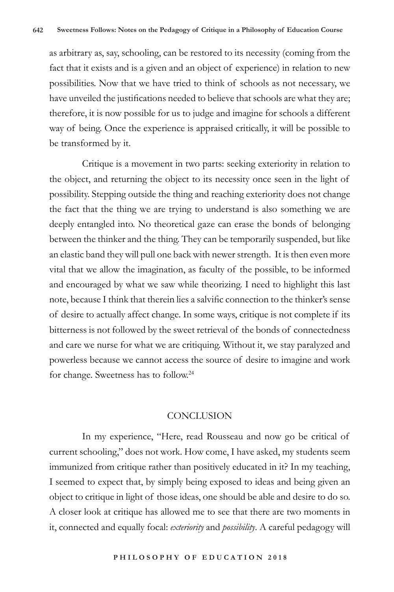as arbitrary as, say, schooling, can be restored to its necessity (coming from the fact that it exists and is a given and an object of experience) in relation to new possibilities. Now that we have tried to think of schools as not necessary, we have unveiled the justifications needed to believe that schools are what they are; therefore, it is now possible for us to judge and imagine for schools a different way of being. Once the experience is appraised critically, it will be possible to be transformed by it.

Critique is a movement in two parts: seeking exteriority in relation to the object, and returning the object to its necessity once seen in the light of possibility. Stepping outside the thing and reaching exteriority does not change the fact that the thing we are trying to understand is also something we are deeply entangled into. No theoretical gaze can erase the bonds of belonging between the thinker and the thing. They can be temporarily suspended, but like an elastic band they will pull one back with newer strength. It is then even more vital that we allow the imagination, as faculty of the possible, to be informed and encouraged by what we saw while theorizing. I need to highlight this last note, because I think that therein lies a salvific connection to the thinker's sense of desire to actually affect change. In some ways, critique is not complete if its bitterness is not followed by the sweet retrieval of the bonds of connectedness and care we nurse for what we are critiquing. Without it, we stay paralyzed and powerless because we cannot access the source of desire to imagine and work for change. Sweetness has to follow.24

#### **CONCLUSION**

In my experience, "Here, read Rousseau and now go be critical of current schooling," does not work. How come, I have asked, my students seem immunized from critique rather than positively educated in it? In my teaching, I seemed to expect that, by simply being exposed to ideas and being given an object to critique in light of those ideas, one should be able and desire to do so. A closer look at critique has allowed me to see that there are two moments in it, connected and equally focal: *exteriority* and *possibility*. A careful pedagogy will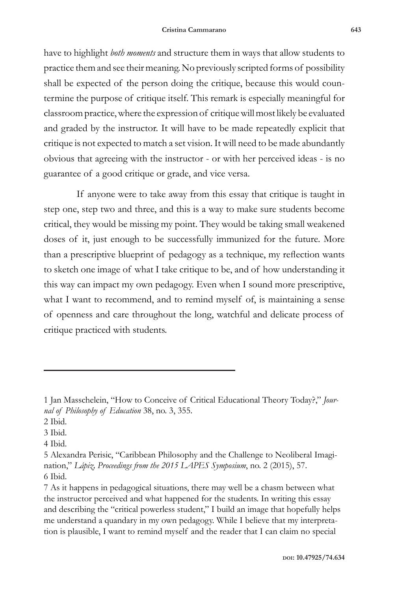have to highlight *both moments* and structure them in ways that allow students to practice them and see their meaning. No previously scripted forms of possibility shall be expected of the person doing the critique, because this would countermine the purpose of critique itself. This remark is especially meaningful for classroom practice, where the expression of critique will most likely be evaluated and graded by the instructor. It will have to be made repeatedly explicit that critique is not expected to match a set vision. It will need to be made abundantly obvious that agreeing with the instructor - or with her perceived ideas - is no guarantee of a good critique or grade, and vice versa.

If anyone were to take away from this essay that critique is taught in step one, step two and three, and this is a way to make sure students become critical, they would be missing my point. They would be taking small weakened doses of it, just enough to be successfully immunized for the future. More than a prescriptive blueprint of pedagogy as a technique, my reflection wants to sketch one image of what I take critique to be, and of how understanding it this way can impact my own pedagogy. Even when I sound more prescriptive, what I want to recommend, and to remind myself of, is maintaining a sense of openness and care throughout the long, watchful and delicate process of critique practiced with students.

<sup>1</sup> Jan Masschelein, "How to Conceive of Critical Educational Theory Today?," *Journal of Philosophy of Education* 38, no. 3, 355.

<sup>2</sup> Ibid.

<sup>3</sup> Ibid.

<sup>4</sup> Ibid.

<sup>5</sup> Alexandra Perisic, "Caribbean Philosophy and the Challenge to Neoliberal Imagination," *Lápiz, Proceedings from the 2015 LAPES Symposium*, no. 2 (2015), 57. 6 Ibid.

<sup>7</sup> As it happens in pedagogical situations, there may well be a chasm between what the instructor perceived and what happened for the students. In writing this essay and describing the "critical powerless student," I build an image that hopefully helps me understand a quandary in my own pedagogy. While I believe that my interpretation is plausible, I want to remind myself and the reader that I can claim no special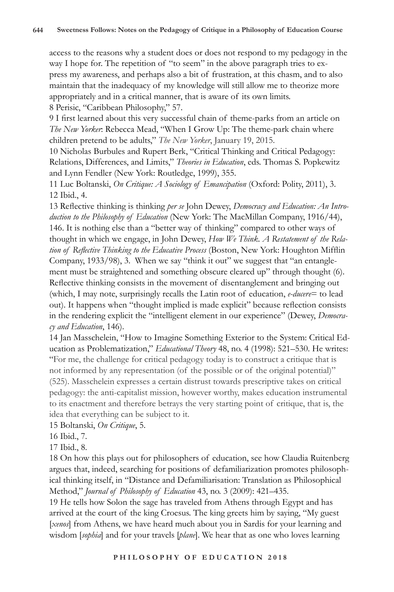access to the reasons why a student does or does not respond to my pedagogy in the way I hope for. The repetition of "to seem" in the above paragraph tries to express my awareness, and perhaps also a bit of frustration, at this chasm, and to also maintain that the inadequacy of my knowledge will still allow me to theorize more appropriately and in a critical manner, that is aware of its own limits. 8 Perisic, "Caribbean Philosophy," 57.

9 I first learned about this very successful chain of theme-parks from an article on *The New Yorker*: Rebecca Mead, "When I Grow Up: The theme-park chain where children pretend to be adults," *The New Yorker*, January 19, 2015.

10 Nicholas Burbules and Rupert Berk, "Critical Thinking and Critical Pedagogy: Relations, Differences, and Limits," *Theories in Education*, eds. Thomas S. Popkewitz and Lynn Fendler (New York: Routledge, 1999), 355.

11 Luc Boltanski, *On Critique: A Sociology of Emancipation* (Oxford: Polity, 2011), 3. 12 Ibid., 4.

13 Reflective thinking is thinking *per se* John Dewey, *Democracy and Education: An Introduction to the Philosophy of Education* (New York: The MacMillan Company, 1916/44), 146. It is nothing else than a "better way of thinking" compared to other ways of thought in which we engage, in John Dewey, *How We Think. A Restatement of the Relation of Reflective Thinking to the Educative Process* (Boston, New York: Houghton Mifflin Company, 1933/98), 3. When we say "think it out" we suggest that "an entanglement must be straightened and something obscure cleared up" through thought (6). Reflective thinking consists in the movement of disentanglement and bringing out (which, I may note, surprisingly recalls the Latin root of education, *e-ducere*= to lead out). It happens when "thought implied is made explicit" because reflection consists in the rendering explicit the "intelligent element in our experience" (Dewey, *Democracy and Education*, 146).

14 Jan Masschelein, "How to Imagine Something Exterior to the System: Critical Education as Problematization," *Educational Theory* 48, no. 4 (1998): 521–530. He writes: "For me, the challenge for critical pedagogy today is to construct a critique that is not informed by any representation (of the possible or of the original potential)" (525). Masschelein expresses a certain distrust towards prescriptive takes on critical pedagogy: the anti-capitalist mission, however worthy, makes education instrumental to its enactment and therefore betrays the very starting point of critique, that is, the idea that everything can be subject to it.

15 Boltanski, *On Critique*, 5.

16 Ibid., 7.

17 Ibid., 8.

18 On how this plays out for philosophers of education, see how Claudia Ruitenberg argues that, indeed, searching for positions of defamiliarization promotes philosophical thinking itself, in "Distance and Defamiliarisation: Translation as Philosophical Method," *Journal of Philosophy of Education* 43, no. 3 (2009): 421–435.

19 He tells how Solon the sage has traveled from Athens through Egypt and has arrived at the court of the king Croesus. The king greets him by saying, "My guest [*xenos*] from Athens, we have heard much about you in Sardis for your learning and wisdom [*sophia*] and for your travels [*plane*]. We hear that as one who loves learning